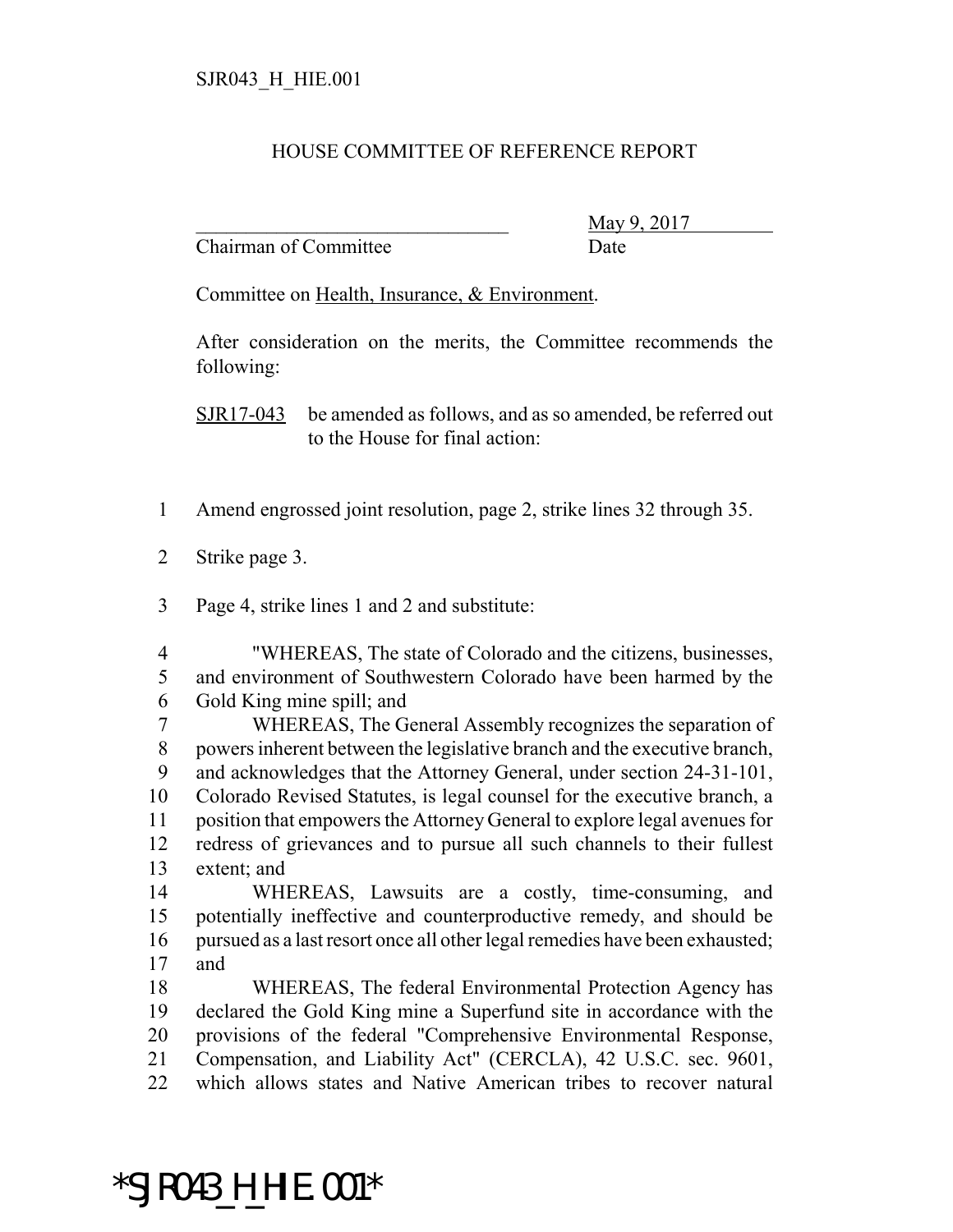## HOUSE COMMITTEE OF REFERENCE REPORT

Chairman of Committee Date

May 9, 2017

Committee on Health, Insurance, & Environment.

After consideration on the merits, the Committee recommends the following:

SJR17-043 be amended as follows, and as so amended, be referred out to the House for final action:

- Amend engrossed joint resolution, page 2, strike lines 32 through 35.
- Strike page 3.
- Page 4, strike lines 1 and 2 and substitute:

 "WHEREAS, The state of Colorado and the citizens, businesses, and environment of Southwestern Colorado have been harmed by the Gold King mine spill; and

 WHEREAS, The General Assembly recognizes the separation of powers inherent between the legislative branch and the executive branch, and acknowledges that the Attorney General, under section 24-31-101, Colorado Revised Statutes, is legal counsel for the executive branch, a position that empowers the Attorney General to explore legal avenues for redress of grievances and to pursue all such channels to their fullest extent; and

 WHEREAS, Lawsuits are a costly, time-consuming, and potentially ineffective and counterproductive remedy, and should be pursued as a last resort once all other legal remedies have been exhausted; and

 WHEREAS, The federal Environmental Protection Agency has declared the Gold King mine a Superfund site in accordance with the provisions of the federal "Comprehensive Environmental Response, Compensation, and Liability Act" (CERCLA), 42 U.S.C. sec. 9601, which allows states and Native American tribes to recover natural

## \*SJR043\_H\_HIE.001\*